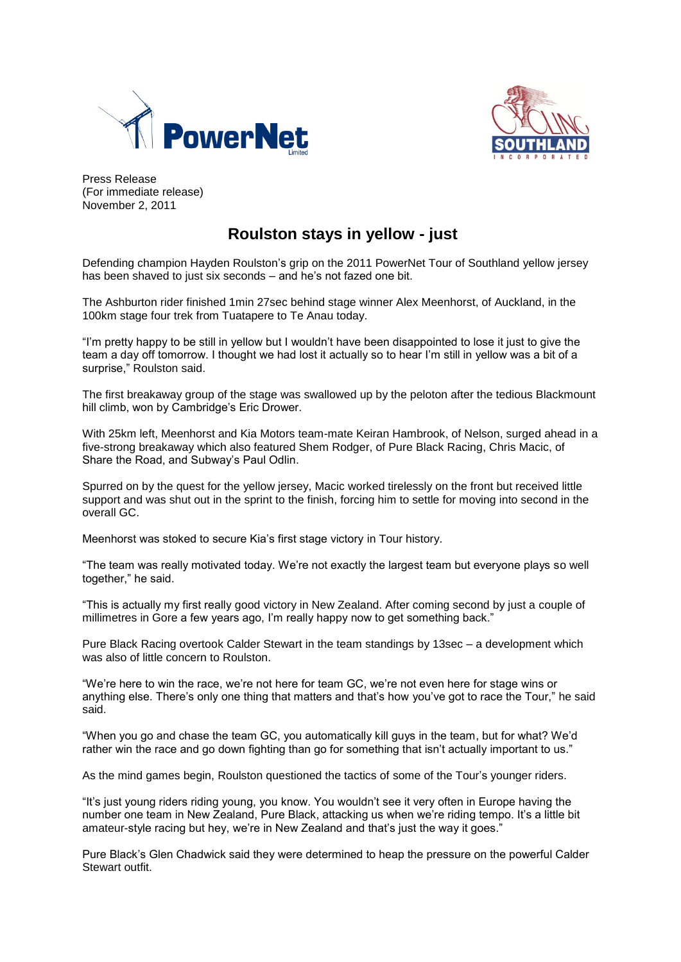



Press Release (For immediate release) November 2, 2011

# **Roulston stays in yellow - just**

Defending champion Hayden Roulston's grip on the 2011 PowerNet Tour of Southland yellow jersey has been shaved to just six seconds – and he's not fazed one bit.

The Ashburton rider finished 1min 27sec behind stage winner Alex Meenhorst, of Auckland, in the 100km stage four trek from Tuatapere to Te Anau today.

"I'm pretty happy to be still in yellow but I wouldn't have been disappointed to lose it just to give the team a day off tomorrow. I thought we had lost it actually so to hear I'm still in yellow was a bit of a surprise," Roulston said.

The first breakaway group of the stage was swallowed up by the peloton after the tedious Blackmount hill climb, won by Cambridge's Eric Drower.

With 25km left, Meenhorst and Kia Motors team-mate Keiran Hambrook, of Nelson, surged ahead in a five-strong breakaway which also featured Shem Rodger, of Pure Black Racing, Chris Macic, of Share the Road, and Subway's Paul Odlin.

Spurred on by the quest for the yellow jersey, Macic worked tirelessly on the front but received little support and was shut out in the sprint to the finish, forcing him to settle for moving into second in the overall GC.

Meenhorst was stoked to secure Kia's first stage victory in Tour history.

"The team was really motivated today. We're not exactly the largest team but everyone plays so well together," he said.

"This is actually my first really good victory in New Zealand. After coming second by just a couple of millimetres in Gore a few years ago, I'm really happy now to get something back."

Pure Black Racing overtook Calder Stewart in the team standings by 13sec – a development which was also of little concern to Roulston.

"We're here to win the race, we're not here for team GC, we're not even here for stage wins or anything else. There's only one thing that matters and that's how you've got to race the Tour," he said said.

"When you go and chase the team GC, you automatically kill guys in the team, but for what? We'd rather win the race and go down fighting than go for something that isn't actually important to us."

As the mind games begin, Roulston questioned the tactics of some of the Tour's younger riders.

"It's just young riders riding young, you know. You wouldn't see it very often in Europe having the number one team in New Zealand, Pure Black, attacking us when we're riding tempo. It's a little bit amateur-style racing but hey, we're in New Zealand and that's just the way it goes."

Pure Black's Glen Chadwick said they were determined to heap the pressure on the powerful Calder Stewart outfit.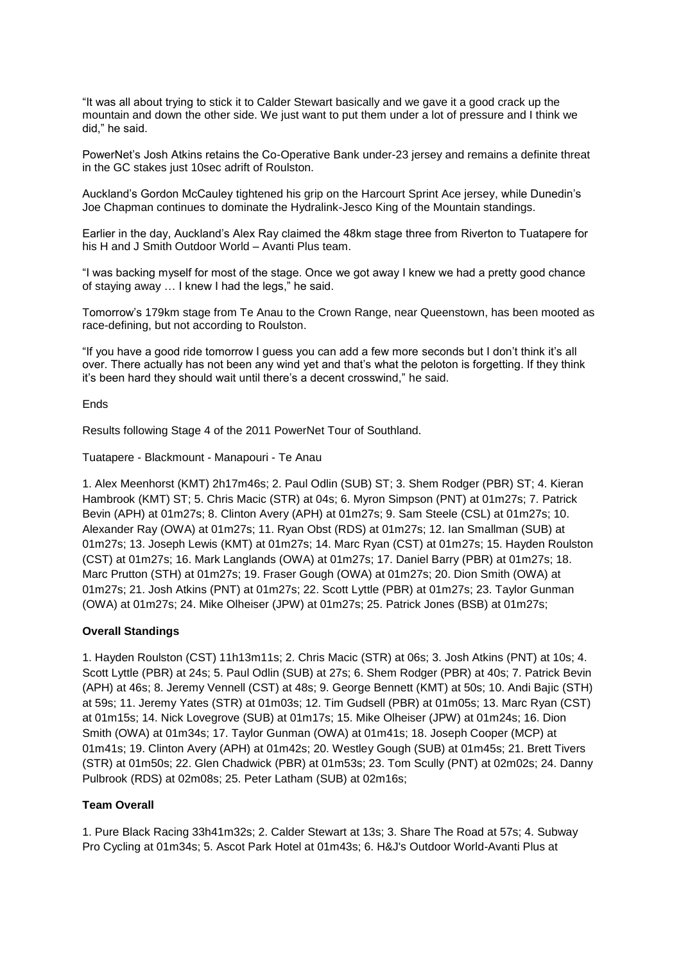"It was all about trying to stick it to Calder Stewart basically and we gave it a good crack up the mountain and down the other side. We just want to put them under a lot of pressure and I think we did," he said.

PowerNet's Josh Atkins retains the Co-Operative Bank under-23 jersey and remains a definite threat in the GC stakes just 10sec adrift of Roulston.

Auckland's Gordon McCauley tightened his grip on the Harcourt Sprint Ace jersey, while Dunedin's Joe Chapman continues to dominate the Hydralink-Jesco King of the Mountain standings.

Earlier in the day, Auckland's Alex Ray claimed the 48km stage three from Riverton to Tuatapere for his H and J Smith Outdoor World – Avanti Plus team.

"I was backing myself for most of the stage. Once we got away I knew we had a pretty good chance of staying away … I knew I had the legs," he said.

Tomorrow's 179km stage from Te Anau to the Crown Range, near Queenstown, has been mooted as race-defining, but not according to Roulston.

"If you have a good ride tomorrow I guess you can add a few more seconds but I don't think it's all over. There actually has not been any wind yet and that's what the peloton is forgetting. If they think it's been hard they should wait until there's a decent crosswind," he said.

#### Ends

Results following Stage 4 of the 2011 PowerNet Tour of Southland.

Tuatapere - Blackmount - Manapouri - Te Anau

1. Alex Meenhorst (KMT) 2h17m46s; 2. Paul Odlin (SUB) ST; 3. Shem Rodger (PBR) ST; 4. Kieran Hambrook (KMT) ST; 5. Chris Macic (STR) at 04s; 6. Myron Simpson (PNT) at 01m27s; 7. Patrick Bevin (APH) at 01m27s; 8. Clinton Avery (APH) at 01m27s; 9. Sam Steele (CSL) at 01m27s; 10. Alexander Ray (OWA) at 01m27s; 11. Ryan Obst (RDS) at 01m27s; 12. Ian Smallman (SUB) at 01m27s; 13. Joseph Lewis (KMT) at 01m27s; 14. Marc Ryan (CST) at 01m27s; 15. Hayden Roulston (CST) at 01m27s; 16. Mark Langlands (OWA) at 01m27s; 17. Daniel Barry (PBR) at 01m27s; 18. Marc Prutton (STH) at 01m27s; 19. Fraser Gough (OWA) at 01m27s; 20. Dion Smith (OWA) at 01m27s; 21. Josh Atkins (PNT) at 01m27s; 22. Scott Lyttle (PBR) at 01m27s; 23. Taylor Gunman (OWA) at 01m27s; 24. Mike Olheiser (JPW) at 01m27s; 25. Patrick Jones (BSB) at 01m27s;

#### **Overall Standings**

1. Hayden Roulston (CST) 11h13m11s; 2. Chris Macic (STR) at 06s; 3. Josh Atkins (PNT) at 10s; 4. Scott Lyttle (PBR) at 24s; 5. Paul Odlin (SUB) at 27s; 6. Shem Rodger (PBR) at 40s; 7. Patrick Bevin (APH) at 46s; 8. Jeremy Vennell (CST) at 48s; 9. George Bennett (KMT) at 50s; 10. Andi Bajic (STH) at 59s; 11. Jeremy Yates (STR) at 01m03s; 12. Tim Gudsell (PBR) at 01m05s; 13. Marc Ryan (CST) at 01m15s; 14. Nick Lovegrove (SUB) at 01m17s; 15. Mike Olheiser (JPW) at 01m24s; 16. Dion Smith (OWA) at 01m34s; 17. Taylor Gunman (OWA) at 01m41s; 18. Joseph Cooper (MCP) at 01m41s; 19. Clinton Avery (APH) at 01m42s; 20. Westley Gough (SUB) at 01m45s; 21. Brett Tivers (STR) at 01m50s; 22. Glen Chadwick (PBR) at 01m53s; 23. Tom Scully (PNT) at 02m02s; 24. Danny Pulbrook (RDS) at 02m08s; 25. Peter Latham (SUB) at 02m16s;

#### **Team Overall**

1. Pure Black Racing 33h41m32s; 2. Calder Stewart at 13s; 3. Share The Road at 57s; 4. Subway Pro Cycling at 01m34s; 5. Ascot Park Hotel at 01m43s; 6. H&J's Outdoor World-Avanti Plus at